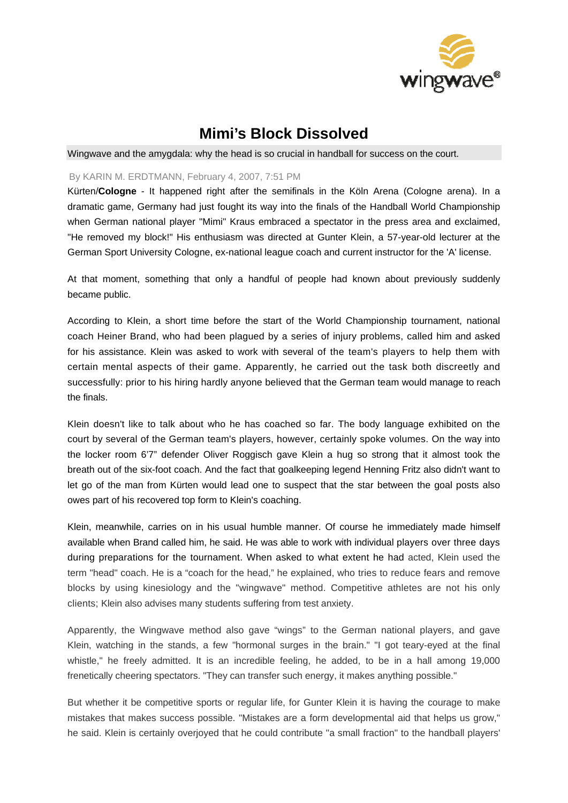

## **Mimi's Block Dissolved**

Wingwave and the amygdala: why the head is so crucial in handball for success on the court.

## By KARIN M. ERDTMANN, February 4, 2007, 7:51 PM

Kürten/**Cologne** - It happened right after the semifinals in the Köln Arena (Cologne arena). In a dramatic game, Germany had just fought its way into the finals of the Handball World Championship when German national player "Mimi" Kraus embraced a spectator in the press area and exclaimed, "He removed my block!" His enthusiasm was directed at Gunter Klein, a 57-year-old lecturer at the German Sport University Cologne, ex-national league coach and current instructor for the 'A' license.

At that moment, something that only a handful of people had known about previously suddenly became public.

According to Klein, a short time before the start of the World Championship tournament, national coach Heiner Brand, who had been plagued by a series of injury problems, called him and asked for his assistance. Klein was asked to work with several of the team's players to help them with certain mental aspects of their game. Apparently, he carried out the task both discreetly and successfully: prior to his hiring hardly anyone believed that the German team would manage to reach the finals.

Klein doesn't like to talk about who he has coached so far. The body language exhibited on the court by several of the German team's players, however, certainly spoke volumes. On the way into the locker room 6'7" defender Oliver Roggisch gave Klein a hug so strong that it almost took the breath out of the six-foot coach. And the fact that goalkeeping legend Henning Fritz also didn't want to let go of the man from Kürten would lead one to suspect that the star between the goal posts also owes part of his recovered top form to Klein's coaching.

Klein, meanwhile, carries on in his usual humble manner. Of course he immediately made himself available when Brand called him, he said. He was able to work with individual players over three days during preparations for the tournament. When asked to what extent he had acted, Klein used the term "head" coach. He is a "coach for the head," he explained, who tries to reduce fears and remove blocks by using kinesiology and the "wingwave" method. Competitive athletes are not his only clients; Klein also advises many students suffering from test anxiety.

Apparently, the Wingwave method also gave "wings" to the German national players, and gave Klein, watching in the stands, a few "hormonal surges in the brain." "I got teary-eyed at the final whistle," he freely admitted. It is an incredible feeling, he added, to be in a hall among 19,000 frenetically cheering spectators. "They can transfer such energy, it makes anything possible."

But whether it be competitive sports or regular life, for Gunter Klein it is having the courage to make mistakes that makes success possible. "Mistakes are a form developmental aid that helps us grow," he said. Klein is certainly overjoyed that he could contribute "a small fraction" to the handball players'